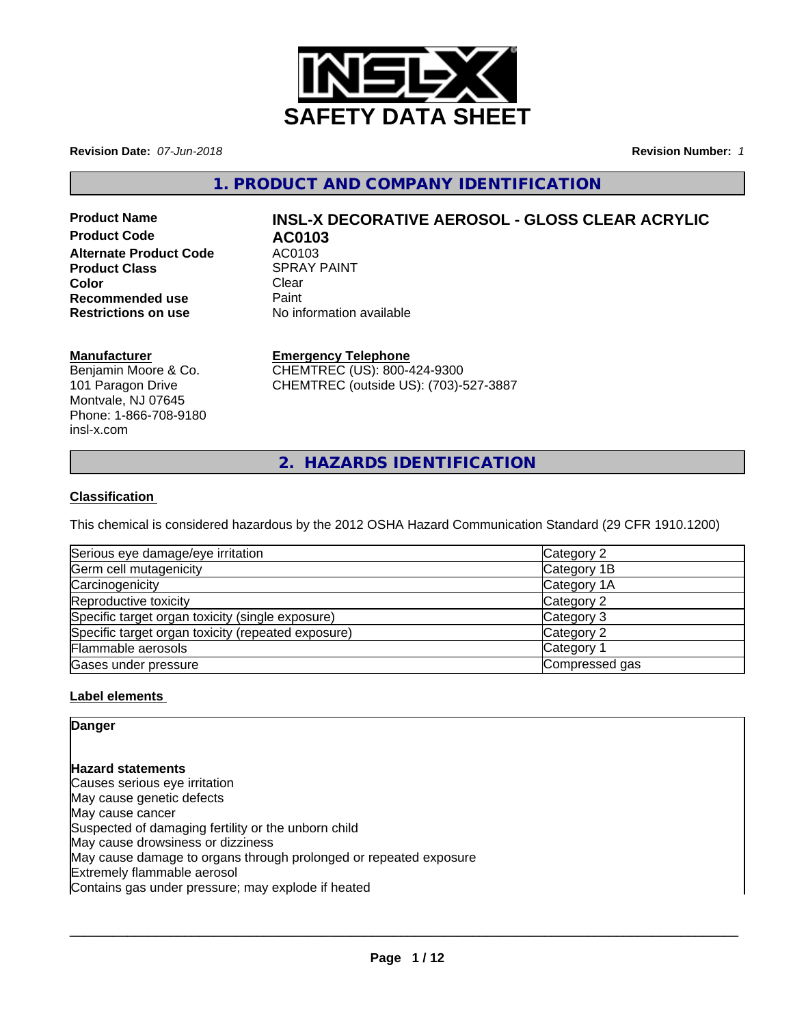

**Revision Date:** *07-Jun-2018* **Revision Number:** *1*

**1. PRODUCT AND COMPANY IDENTIFICATION**

**Product Code AC0103 Alternate Product Code AC0103**<br>**Product Class Act ACCONTED ACCOUNT Product Class Color** Clear Clear **Recommended use** Paint<br> **Restrictions on use** No inf

# **Product Name INSL-X DECORATIVE AEROSOL - GLOSS CLEAR ACRYLIC**

**No information available** 

#### **Manufacturer**

Benjamin Moore & Co. 101 Paragon Drive Montvale, NJ 07645 Phone: 1-866-708-9180 insl-x.com

**Emergency Telephone**

CHEMTREC (US): 800-424-9300 CHEMTREC (outside US): (703)-527-3887

**2. HAZARDS IDENTIFICATION**

#### **Classification**

This chemical is considered hazardous by the 2012 OSHA Hazard Communication Standard (29 CFR 1910.1200)

| Serious eye damage/eye irritation                  | Category 2     |
|----------------------------------------------------|----------------|
| Germ cell mutagenicity                             | Category 1B    |
| Carcinogenicity                                    | Category 1A    |
| Reproductive toxicity                              | Category 2     |
| Specific target organ toxicity (single exposure)   | Category 3     |
| Specific target organ toxicity (repeated exposure) | Category 2     |
| Flammable aerosols                                 | Category 1     |
| Gases under pressure                               | Compressed gas |

#### **Label elements**

**Danger**

**Hazard statements** Causes serious eye irritation May cause genetic defects May cause cancer Suspected of damaging fertility or the unborn child May cause drowsiness or dizziness May cause damage to organs through prolonged or repeated exposure Extremely flammable aerosol Contains gas under pressure; may explode if heated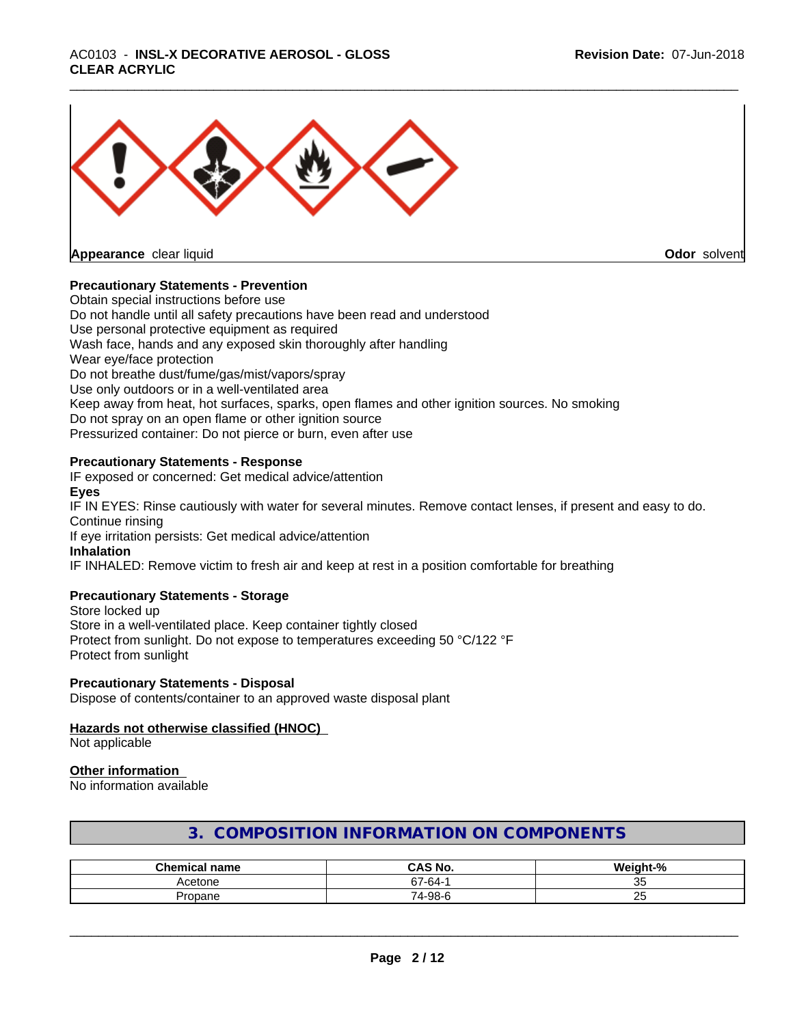## \_\_\_\_\_\_\_\_\_\_\_\_\_\_\_\_\_\_\_\_\_\_\_\_\_\_\_\_\_\_\_\_\_\_\_\_\_\_\_\_\_\_\_\_\_\_\_\_\_\_\_\_\_\_\_\_\_\_\_\_\_\_\_\_\_\_\_\_\_\_\_\_\_\_\_\_\_\_\_\_\_\_\_\_\_\_\_\_\_\_\_\_\_ AC0103 - **INSL-X DECORATIVE AEROSOL - GLOSS CLEAR ACRYLIC**



#### **Precautionary Statements - Prevention**

Obtain special instructions before use Do not handle until all safety precautions have been read and understood Use personal protective equipment as required Wash face, hands and any exposed skin thoroughly after handling Wear eye/face protection Do not breathe dust/fume/gas/mist/vapors/spray Use only outdoors or in a well-ventilated area Keep away from heat, hot surfaces, sparks, open flames and other ignition sources. No smoking Do not spray on an open flame or other ignition source Pressurized container: Do not pierce or burn, even after use

#### **Precautionary Statements - Response**

IF exposed or concerned: Get medical advice/attention **Eyes** IF IN EYES: Rinse cautiously with water for several minutes. Remove contact lenses, if present and easy to do. Continue rinsing If eye irritation persists: Get medical advice/attention **Inhalation** IF INHALED: Remove victim to fresh air and keep at rest in a position comfortable for breathing

#### **Precautionary Statements - Storage**

Store locked up Store in a well-ventilated place. Keep container tightly closed Protect from sunlight. Do not expose to temperatures exceeding 50 °C/122 °F Protect from sunlight

#### **Precautionary Statements - Disposal**

Dispose of contents/container to an approved waste disposal plant

#### **Hazards not otherwise classified (HNOC)**

Not applicable

#### **Other information**

No information available

| Chamica.<br>name | <b>CAS No.</b> | $\mathbf{a}$<br>    |
|------------------|----------------|---------------------|
| Acetone          | $67 - 64 - 1$  | $\sim$ $\sim$<br>ັບ |
| Propane          | 74-98-6        | $\sim$ $-$<br>້     |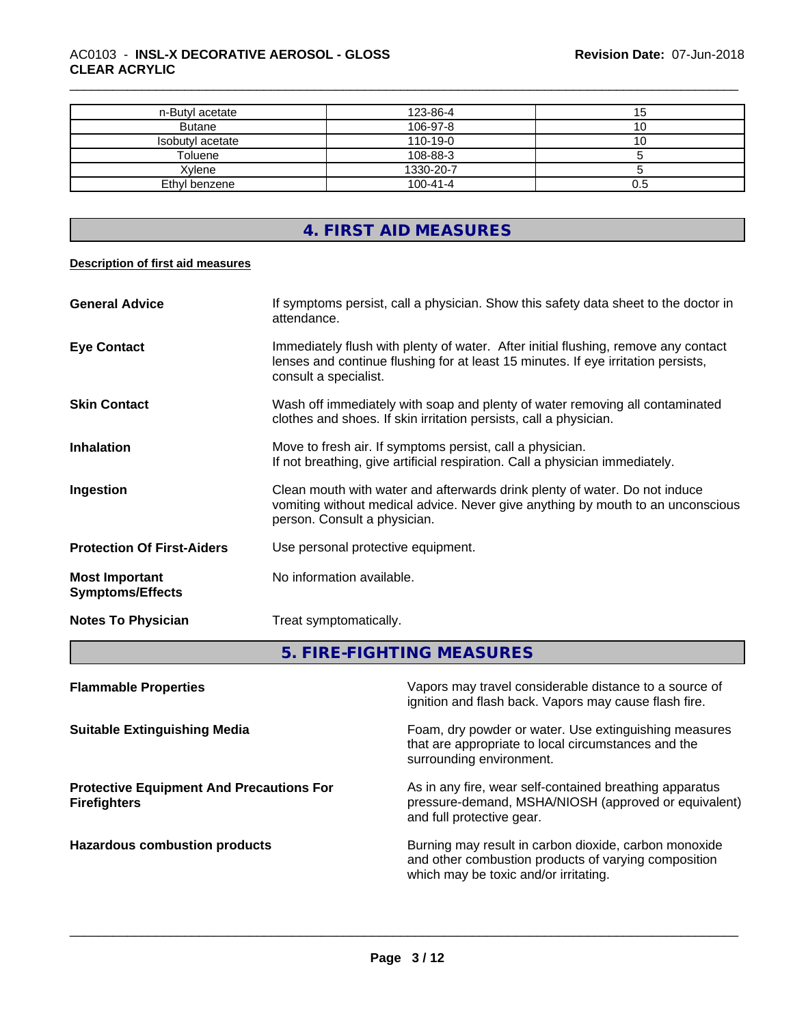#### \_\_\_\_\_\_\_\_\_\_\_\_\_\_\_\_\_\_\_\_\_\_\_\_\_\_\_\_\_\_\_\_\_\_\_\_\_\_\_\_\_\_\_\_\_\_\_\_\_\_\_\_\_\_\_\_\_\_\_\_\_\_\_\_\_\_\_\_\_\_\_\_\_\_\_\_\_\_\_\_\_\_\_\_\_\_\_\_\_\_\_\_\_ AC0103 - **INSL-X DECORATIVE AEROSOL - GLOSS CLEAR ACRYLIC**

| n-Butyl acetate  | 123-86-4       | ıэ  |
|------------------|----------------|-----|
| <b>Butane</b>    | 106-97-8       |     |
| Isobutyl acetate | $110 - 19 - 0$ | ιu  |
| Toluene          | 108-88-3       |     |
| Xylene           | 1330-20-7      |     |
| Ethyl benzene    | $100 - 41 - 4$ | 0.5 |

## **4. FIRST AID MEASURES**

#### **Description of first aid measures**

| <b>General Advice</b>                            | If symptoms persist, call a physician. Show this safety data sheet to the doctor in<br>attendance.                                                                                               |
|--------------------------------------------------|--------------------------------------------------------------------------------------------------------------------------------------------------------------------------------------------------|
| <b>Eye Contact</b>                               | Immediately flush with plenty of water. After initial flushing, remove any contact<br>lenses and continue flushing for at least 15 minutes. If eye irritation persists,<br>consult a specialist. |
| <b>Skin Contact</b>                              | Wash off immediately with soap and plenty of water removing all contaminated<br>clothes and shoes. If skin irritation persists, call a physician.                                                |
| <b>Inhalation</b>                                | Move to fresh air. If symptoms persist, call a physician.<br>If not breathing, give artificial respiration. Call a physician immediately.                                                        |
| Ingestion                                        | Clean mouth with water and afterwards drink plenty of water. Do not induce<br>vomiting without medical advice. Never give anything by mouth to an unconscious<br>person. Consult a physician.    |
| <b>Protection Of First-Aiders</b>                | Use personal protective equipment.                                                                                                                                                               |
| <b>Most Important</b><br><b>Symptoms/Effects</b> | No information available.                                                                                                                                                                        |
| <b>Notes To Physician</b>                        | Treat symptomatically.                                                                                                                                                                           |

## **5. FIRE-FIGHTING MEASURES**

| <b>Flammable Properties</b>                                            | Vapors may travel considerable distance to a source of<br>ignition and flash back. Vapors may cause flash fire.                                        |
|------------------------------------------------------------------------|--------------------------------------------------------------------------------------------------------------------------------------------------------|
| <b>Suitable Extinguishing Media</b>                                    | Foam, dry powder or water. Use extinguishing measures<br>that are appropriate to local circumstances and the<br>surrounding environment.               |
| <b>Protective Equipment And Precautions For</b><br><b>Firefighters</b> | As in any fire, wear self-contained breathing apparatus<br>pressure-demand, MSHA/NIOSH (approved or equivalent)<br>and full protective gear.           |
| <b>Hazardous combustion products</b>                                   | Burning may result in carbon dioxide, carbon monoxide<br>and other combustion products of varying composition<br>which may be toxic and/or irritating. |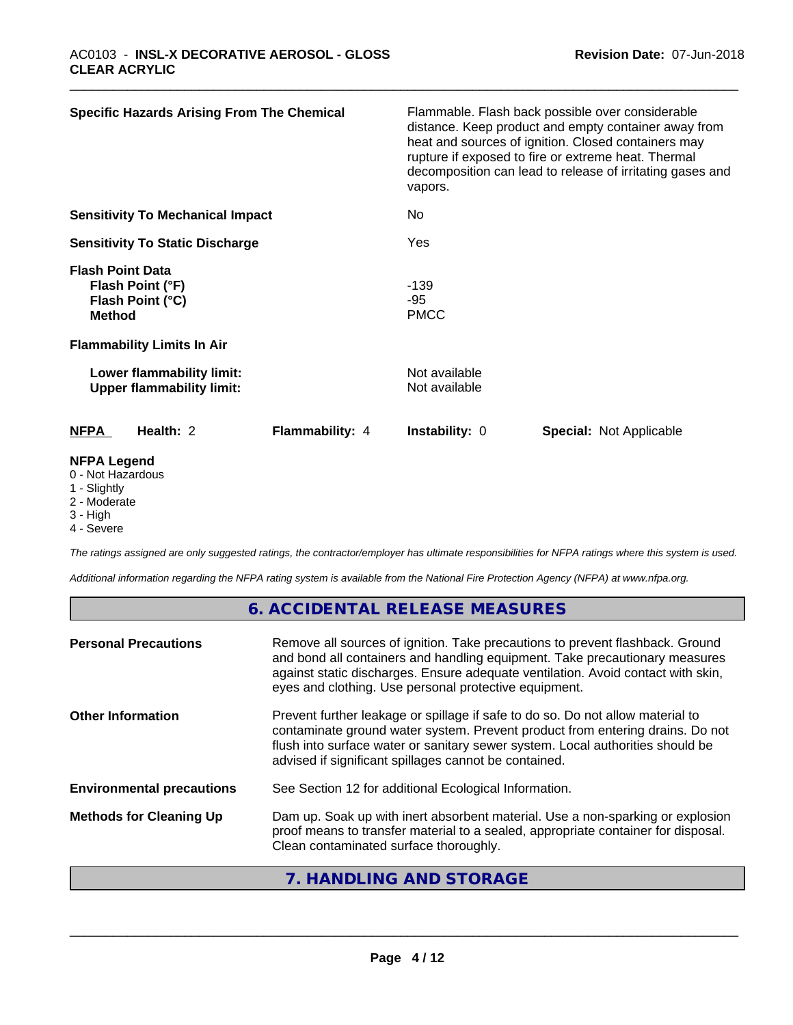| <b>Specific Hazards Arising From The Chemical</b>                                                                     |                 | Flammable. Flash back possible over considerable<br>distance. Keep product and empty container away from<br>heat and sources of ignition. Closed containers may<br>rupture if exposed to fire or extreme heat. Thermal<br>decomposition can lead to release of irritating gases and<br>vapors. |  |                                |  |
|-----------------------------------------------------------------------------------------------------------------------|-----------------|------------------------------------------------------------------------------------------------------------------------------------------------------------------------------------------------------------------------------------------------------------------------------------------------|--|--------------------------------|--|
| <b>Sensitivity To Mechanical Impact</b>                                                                               |                 | No                                                                                                                                                                                                                                                                                             |  |                                |  |
| <b>Sensitivity To Static Discharge</b>                                                                                |                 | Yes                                                                                                                                                                                                                                                                                            |  |                                |  |
| <b>Flash Point Data</b><br>Flash Point (°F)<br>Flash Point (°C)<br><b>Method</b><br><b>Flammability Limits In Air</b> |                 | $-139$<br>-95<br><b>PMCC</b>                                                                                                                                                                                                                                                                   |  |                                |  |
| Lower flammability limit:<br><b>Upper flammability limit:</b>                                                         |                 | Not available<br>Not available                                                                                                                                                                                                                                                                 |  |                                |  |
| <b>NFPA</b><br>Health: 2                                                                                              | Flammability: 4 | <b>Instability: 0</b>                                                                                                                                                                                                                                                                          |  | <b>Special: Not Applicable</b> |  |
| <b>NFPA Legend</b><br>0 - Not Hazardous<br>$\lambda$ $\Omega$ $\Omega$ $\Omega$ $\Omega$                              |                 |                                                                                                                                                                                                                                                                                                |  |                                |  |

#### 1 - Slightly

- 2 Moderate
- 3 High
- 4 Severe

*The ratings assigned are only suggested ratings, the contractor/employer has ultimate responsibilities for NFPA ratings where this system is used.*

*Additional information regarding the NFPA rating system is available from the National Fire Protection Agency (NFPA) at www.nfpa.org.*

## **6. ACCIDENTAL RELEASE MEASURES**

| <b>Personal Precautions</b>      | Remove all sources of ignition. Take precautions to prevent flashback. Ground<br>and bond all containers and handling equipment. Take precautionary measures<br>against static discharges. Ensure adequate ventilation. Avoid contact with skin,<br>eyes and clothing. Use personal protective equipment.  |
|----------------------------------|------------------------------------------------------------------------------------------------------------------------------------------------------------------------------------------------------------------------------------------------------------------------------------------------------------|
| <b>Other Information</b>         | Prevent further leakage or spillage if safe to do so. Do not allow material to<br>contaminate ground water system. Prevent product from entering drains. Do not<br>flush into surface water or sanitary sewer system. Local authorities should be<br>advised if significant spillages cannot be contained. |
| <b>Environmental precautions</b> | See Section 12 for additional Ecological Information.                                                                                                                                                                                                                                                      |
| <b>Methods for Cleaning Up</b>   | Dam up. Soak up with inert absorbent material. Use a non-sparking or explosion<br>proof means to transfer material to a sealed, appropriate container for disposal.<br>Clean contaminated surface thoroughly.                                                                                              |

## **7. HANDLING AND STORAGE**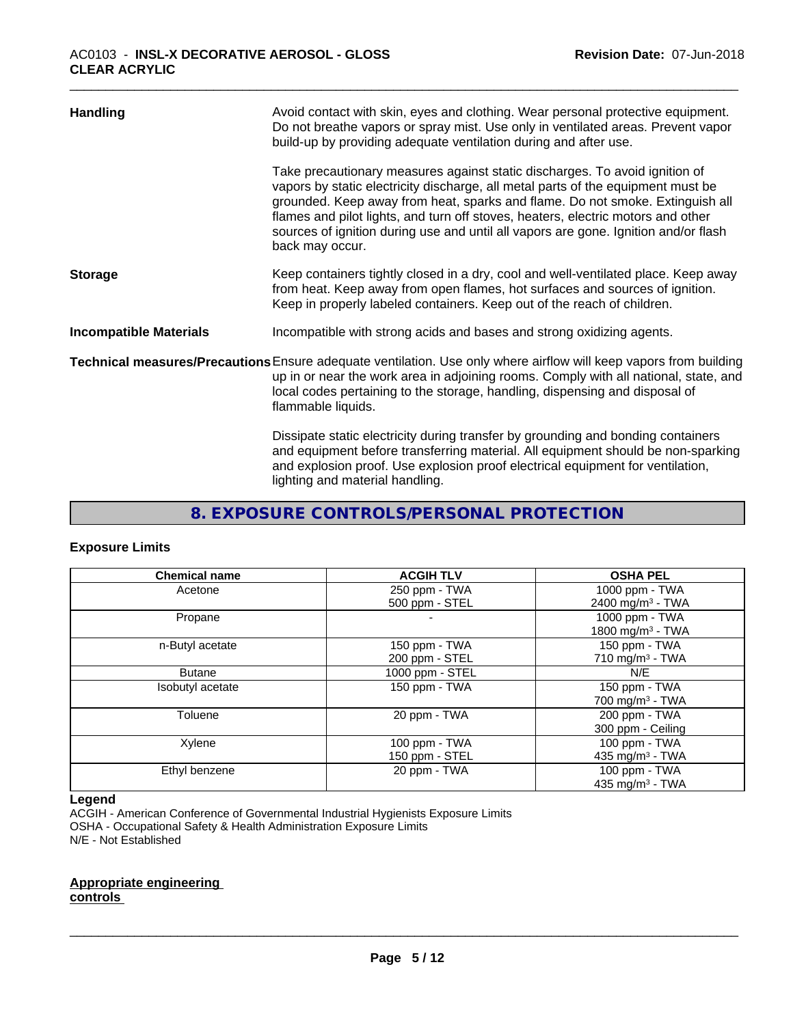| <b>Handling</b>               | Avoid contact with skin, eyes and clothing. Wear personal protective equipment.<br>Do not breathe vapors or spray mist. Use only in ventilated areas. Prevent vapor<br>build-up by providing adequate ventilation during and after use.                                                                                                                                                                                                        |
|-------------------------------|------------------------------------------------------------------------------------------------------------------------------------------------------------------------------------------------------------------------------------------------------------------------------------------------------------------------------------------------------------------------------------------------------------------------------------------------|
|                               | Take precautionary measures against static discharges. To avoid ignition of<br>vapors by static electricity discharge, all metal parts of the equipment must be<br>grounded. Keep away from heat, sparks and flame. Do not smoke. Extinguish all<br>flames and pilot lights, and turn off stoves, heaters, electric motors and other<br>sources of ignition during use and until all vapors are gone. Ignition and/or flash<br>back may occur. |
| <b>Storage</b>                | Keep containers tightly closed in a dry, cool and well-ventilated place. Keep away<br>from heat. Keep away from open flames, hot surfaces and sources of ignition.<br>Keep in properly labeled containers. Keep out of the reach of children.                                                                                                                                                                                                  |
| <b>Incompatible Materials</b> | Incompatible with strong acids and bases and strong oxidizing agents.                                                                                                                                                                                                                                                                                                                                                                          |
|                               | Technical measures/Precautions Ensure adequate ventilation. Use only where airflow will keep vapors from building<br>up in or near the work area in adjoining rooms. Comply with all national, state, and<br>local codes pertaining to the storage, handling, dispensing and disposal of<br>flammable liquids.                                                                                                                                 |
|                               | Dissipate static electricity during transfer by grounding and bonding containers<br>and equipment before transferring material. All equipment should be non-sparking<br>and explosion proof. Use explosion proof electrical equipment for ventilation,<br>lighting and material handling.                                                                                                                                                      |

## **8. EXPOSURE CONTROLS/PERSONAL PROTECTION**

#### **Exposure Limits**

| <b>Chemical name</b> | <b>ACGIH TLV</b> | <b>OSHA PEL</b>               |
|----------------------|------------------|-------------------------------|
| Acetone              | 250 ppm - TWA    | 1000 ppm - TWA                |
|                      | 500 ppm - STEL   | 2400 mg/m <sup>3</sup> - TWA  |
| Propane              |                  | 1000 ppm - TWA                |
|                      |                  | 1800 mg/m <sup>3</sup> - TWA  |
| n-Butyl acetate      | 150 ppm - TWA    | 150 ppm - TWA                 |
|                      | 200 ppm - STEL   | 710 mg/m $3$ - TWA            |
| <b>Butane</b>        | 1000 ppm - STEL  | N/E                           |
| Isobutyl acetate     | 150 ppm - TWA    | 150 ppm - TWA                 |
|                      |                  | $700$ mg/m <sup>3</sup> - TWA |
| Toluene              | 20 ppm - TWA     | 200 ppm - TWA                 |
|                      |                  | 300 ppm - Ceiling             |
| Xylene               | 100 ppm - TWA    | $100$ ppm $-$ TWA             |
|                      | 150 ppm - STEL   | 435 mg/m <sup>3</sup> - TWA   |
| Ethyl benzene        | 20 ppm - TWA     | 100 ppm - TWA                 |
|                      |                  | 435 mg/m <sup>3</sup> - TWA   |

#### **Legend**

ACGIH - American Conference of Governmental Industrial Hygienists Exposure Limits OSHA - Occupational Safety & Health Administration Exposure Limits N/E - Not Established

**Appropriate engineering controls**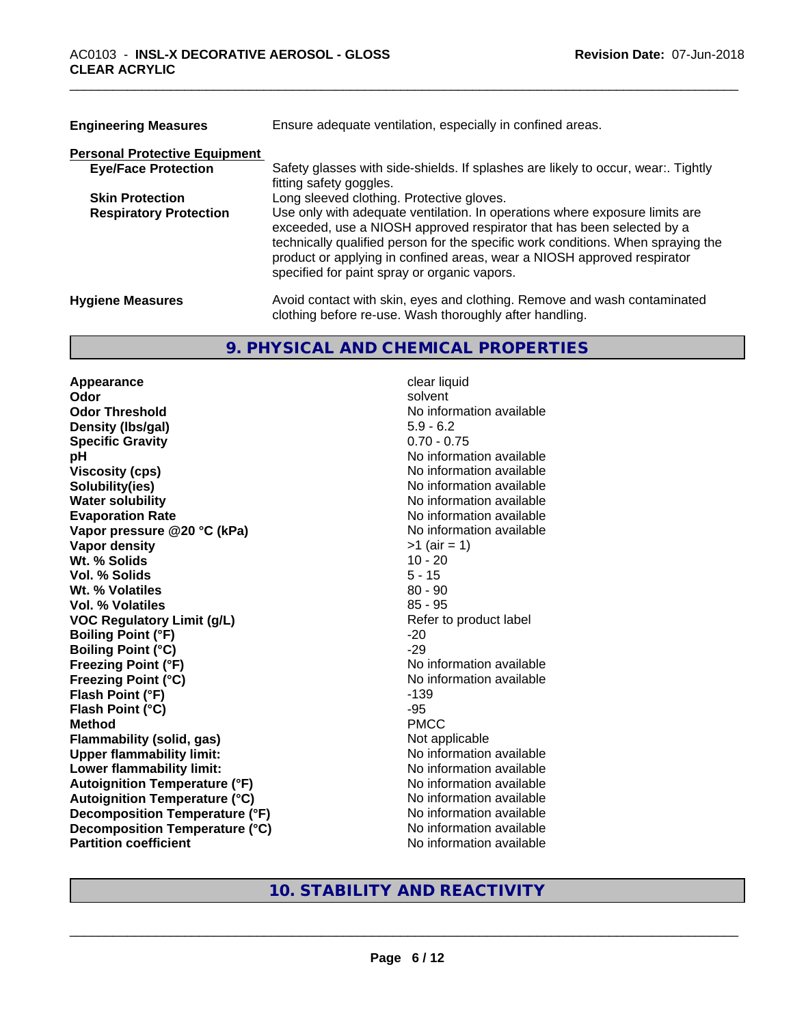| <b>Engineering Measures</b>          | Ensure adequate ventilation, especially in confined areas.                                                                                                                                                                                                                                                                                                          |  |  |
|--------------------------------------|---------------------------------------------------------------------------------------------------------------------------------------------------------------------------------------------------------------------------------------------------------------------------------------------------------------------------------------------------------------------|--|--|
| <b>Personal Protective Equipment</b> |                                                                                                                                                                                                                                                                                                                                                                     |  |  |
| <b>Eye/Face Protection</b>           | Safety glasses with side-shields. If splashes are likely to occur, wear:. Tightly<br>fitting safety goggles.                                                                                                                                                                                                                                                        |  |  |
| <b>Skin Protection</b>               | Long sleeved clothing. Protective gloves.                                                                                                                                                                                                                                                                                                                           |  |  |
| <b>Respiratory Protection</b>        | Use only with adequate ventilation. In operations where exposure limits are<br>exceeded, use a NIOSH approved respirator that has been selected by a<br>technically qualified person for the specific work conditions. When spraying the<br>product or applying in confined areas, wear a NIOSH approved respirator<br>specified for paint spray or organic vapors. |  |  |
| <b>Hygiene Measures</b>              | Avoid contact with skin, eyes and clothing. Remove and wash contaminated<br>clothing before re-use. Wash thoroughly after handling.                                                                                                                                                                                                                                 |  |  |

#### **9. PHYSICAL AND CHEMICAL PROPERTIES**

**Appearance** clear liquid **Odor** solvent **Odor Threshold No information available No information available Density (lbs/gal)** 5.9 - 6.2 **Specific Gravity** 0.70 - 0.75 **pH** No information available **Viscosity (cps)** No information available Notice 1, 1999 **Solubility(ies)**<br> **Solubility**<br> **Water solubility**<br> **Water solubility Evaporation Rate** Note 2008 and 2009 and 2009 and 2009 and 2009 and 2009 and 2009 and 2009 and 2009 and 2009 and 2009 and 2009 and 2009 and 2009 and 2009 and 2009 and 2009 and 2009 and 2009 and 2009 and 2009 and 2009 and **Vapor pressure @20 °C (kPa)** No information available **Vapor density** >1 (air = 1) **Wt. % Solids Vol. % Solids** 5 - 15 **Wt. % Volatiles** 80 - 90 **Vol. % Volatiles** 85 - 95 **VOC** Regulatory Limit (g/L) Refer to product label **Boiling Point (°F)** -20 **Boiling Point (°C)** -29 **Freezing Point (°F)** No information available **Freezing Point (°C)** The state of the Monometer of Noinformation available **Flash Point (°F)** -139 **Flash Point**  $(^{\circ}C)$  -95 **Method** PMCC **Flammability (solid, gas)** Not applicable **Upper flammability limit:** No information available **Lower flammability limit:**<br> **Autoignition Temperature (°F)** No information available<br>
No information available **Autoignition Temperature (°F)**<br> **Autoignition Temperature (°C)** No information available **Autoignition Temperature (°C) Decomposition Temperature (°F)** No information available **Decomposition Temperature (°C)** No information available **Partition coefficient Community Contract Contract Contract Contract Contract Contract Contract Contract Contract Contract Contract Contract Contract Contract Contract Contract Contract Contract Contract Contract Contr** 

**No information available** 

**10. STABILITY AND REACTIVITY**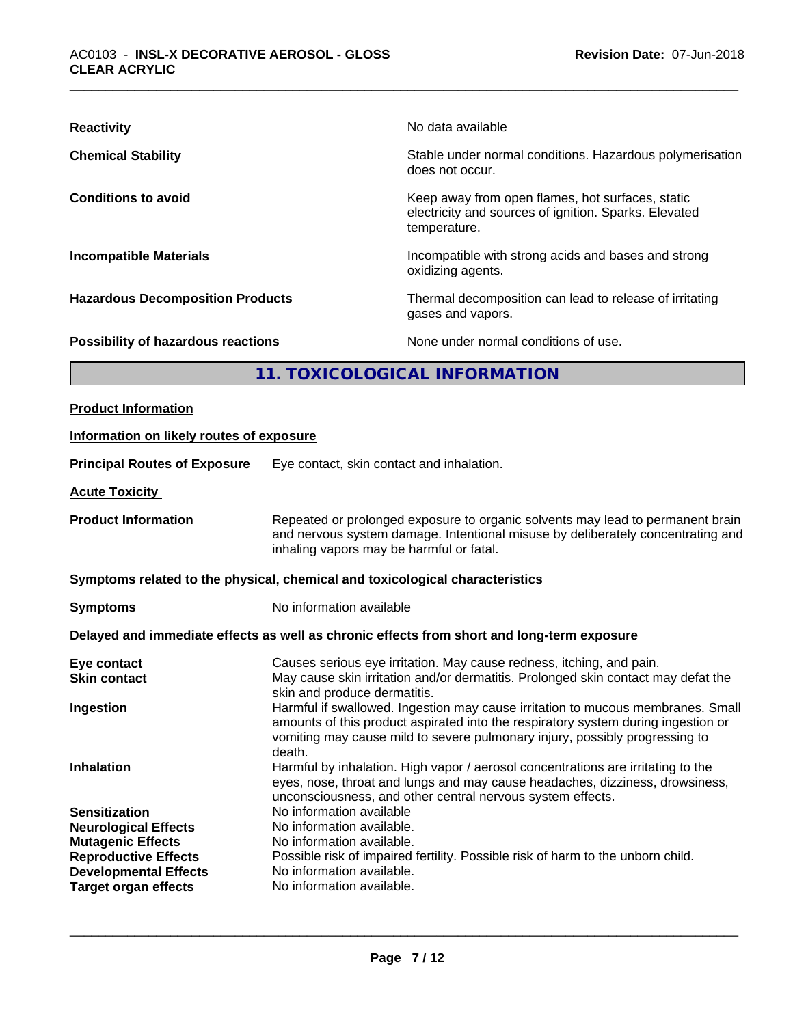| <b>Reactivity</b>                       | No data available                                                                                                         |
|-----------------------------------------|---------------------------------------------------------------------------------------------------------------------------|
| <b>Chemical Stability</b>               | Stable under normal conditions. Hazardous polymerisation<br>does not occur.                                               |
| <b>Conditions to avoid</b>              | Keep away from open flames, hot surfaces, static<br>electricity and sources of ignition. Sparks. Elevated<br>temperature. |
| <b>Incompatible Materials</b>           | Incompatible with strong acids and bases and strong<br>oxidizing agents.                                                  |
| <b>Hazardous Decomposition Products</b> | Thermal decomposition can lead to release of irritating<br>gases and vapors.                                              |
| Possibility of hazardous reactions      | None under normal conditions of use.                                                                                      |
|                                         | 11. TOXICOLOGICAL INFORMATION                                                                                             |
| <b>Product Information</b>              |                                                                                                                           |

| Information on likely routes of exposure                                                                                                                                      |                                                                                                                                                                                                                                                                              |
|-------------------------------------------------------------------------------------------------------------------------------------------------------------------------------|------------------------------------------------------------------------------------------------------------------------------------------------------------------------------------------------------------------------------------------------------------------------------|
| <b>Principal Routes of Exposure</b>                                                                                                                                           | Eye contact, skin contact and inhalation.                                                                                                                                                                                                                                    |
| <b>Acute Toxicity</b>                                                                                                                                                         |                                                                                                                                                                                                                                                                              |
| <b>Product Information</b>                                                                                                                                                    | Repeated or prolonged exposure to organic solvents may lead to permanent brain<br>and nervous system damage. Intentional misuse by deliberately concentrating and<br>inhaling vapors may be harmful or fatal.                                                                |
|                                                                                                                                                                               | Symptoms related to the physical, chemical and toxicological characteristics                                                                                                                                                                                                 |
| <b>Symptoms</b>                                                                                                                                                               | No information available                                                                                                                                                                                                                                                     |
|                                                                                                                                                                               | Delayed and immediate effects as well as chronic effects from short and long-term exposure                                                                                                                                                                                   |
| Eye contact<br><b>Skin contact</b><br>Ingestion                                                                                                                               | Causes serious eye irritation. May cause redness, itching, and pain.<br>May cause skin irritation and/or dermatitis. Prolonged skin contact may defat the<br>skin and produce dermatitis.<br>Harmful if swallowed. Ingestion may cause irritation to mucous membranes. Small |
|                                                                                                                                                                               | amounts of this product aspirated into the respiratory system during ingestion or<br>vomiting may cause mild to severe pulmonary injury, possibly progressing to<br>death.                                                                                                   |
| <b>Inhalation</b>                                                                                                                                                             | Harmful by inhalation. High vapor / aerosol concentrations are irritating to the<br>eyes, nose, throat and lungs and may cause headaches, dizziness, drowsiness,<br>unconsciousness, and other central nervous system effects.                                               |
| <b>Sensitization</b><br><b>Neurological Effects</b><br><b>Mutagenic Effects</b><br><b>Reproductive Effects</b><br><b>Developmental Effects</b><br><b>Target organ effects</b> | No information available<br>No information available.<br>No information available.<br>Possible risk of impaired fertility. Possible risk of harm to the unborn child.<br>No information available.<br>No information available.                                              |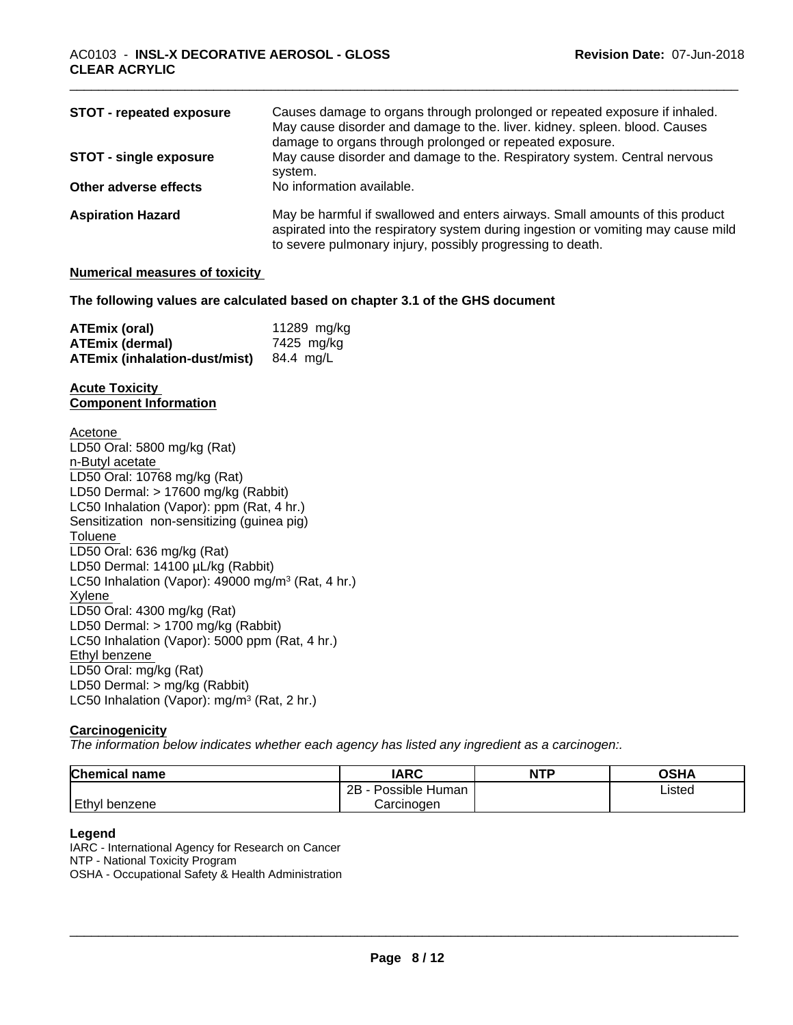| <b>STOT - repeated exposure</b> | Causes damage to organs through prolonged or repeated exposure if inhaled.<br>May cause disorder and damage to the. liver. kidney. spleen. blood. Causes<br>damage to organs through prolonged or repeated exposure.             |
|---------------------------------|----------------------------------------------------------------------------------------------------------------------------------------------------------------------------------------------------------------------------------|
| <b>STOT - single exposure</b>   | May cause disorder and damage to the. Respiratory system. Central nervous<br>system.                                                                                                                                             |
| Other adverse effects           | No information available.                                                                                                                                                                                                        |
| <b>Aspiration Hazard</b>        | May be harmful if swallowed and enters airways. Small amounts of this product<br>aspirated into the respiratory system during ingestion or vomiting may cause mild<br>to severe pulmonary injury, possibly progressing to death. |

#### **Numerical measures of toxicity**

#### **The following values are calculated based on chapter 3.1 of the GHS document**

| ATEmix (oral)                                  | 11289 mg/kg |
|------------------------------------------------|-------------|
| <b>ATEmix (dermal)</b>                         | 7425 mg/kg  |
| <b>ATEmix (inhalation-dust/mist)</b> 84.4 mg/L |             |

#### **Acute Toxicity Component Information**

Acetone LD50 Oral: 5800 mg/kg (Rat) n-Butyl acetate LD50 Oral: 10768 mg/kg (Rat) LD50 Dermal: > 17600 mg/kg (Rabbit) LC50 Inhalation (Vapor): ppm (Rat, 4 hr.) Sensitization non-sensitizing (guinea pig) **Toluene** LD50 Oral: 636 mg/kg (Rat) LD50 Dermal: 14100 µL/kg (Rabbit) LC50 Inhalation (Vapor): 49000 mg/m<sup>3</sup> (Rat, 4 hr.) Xylene LD50 Oral: 4300 mg/kg (Rat) LD50 Dermal: > 1700 mg/kg (Rabbit) LC50 Inhalation (Vapor): 5000 ppm (Rat, 4 hr.) Ethyl benzene LD50 Oral: mg/kg (Rat) LD50 Dermal: > mg/kg (Rabbit) LC50 Inhalation (Vapor): mg/m<sup>3</sup> (Rat, 2 hr.)

#### **Carcinogenicity**

*The information below indicateswhether each agency has listed any ingredient as a carcinogen:.*

| <b>Chemical name</b> | <b>IARC</b>          | <b>NTP</b> | OSHA   |
|----------------------|----------------------|------------|--------|
|                      | 2B<br>Possible Human |            | Listed |
| Ethyl<br>I benzene   | Carcinogen           |            |        |

#### **Legend**

IARC - International Agency for Research on Cancer NTP - National Toxicity Program OSHA - Occupational Safety & Health Administration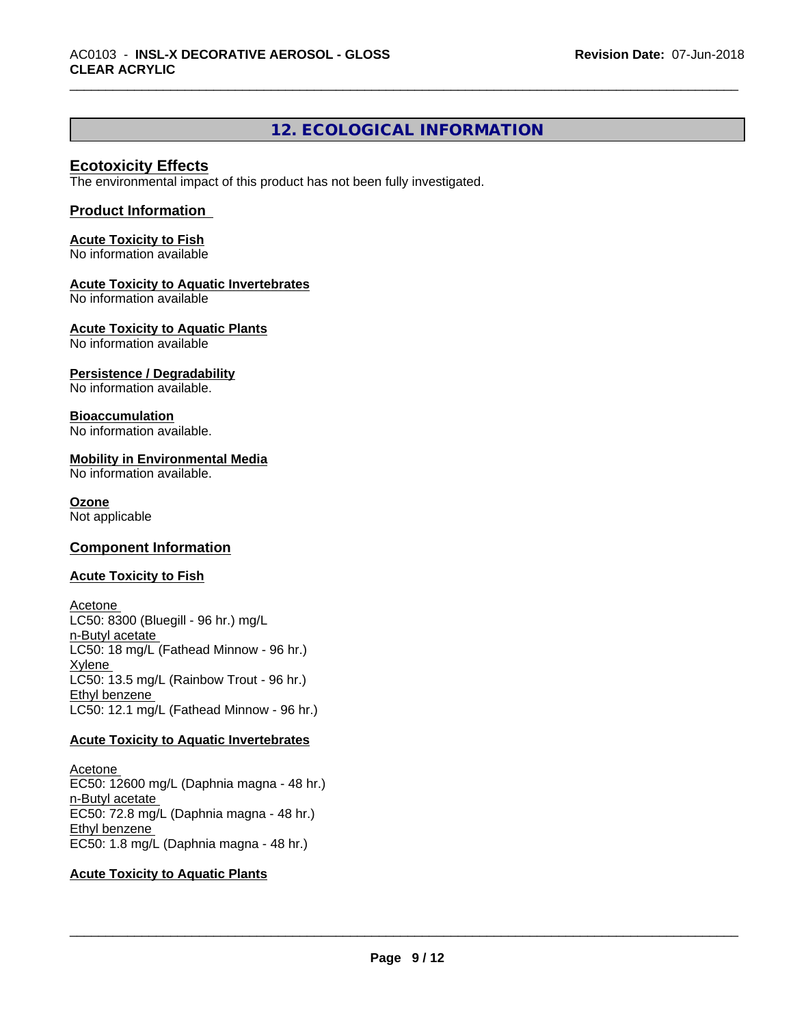## **12. ECOLOGICAL INFORMATION**

#### **Ecotoxicity Effects**

The environmental impact of this product has not been fully investigated.

#### **Product Information**

**Acute Toxicity to Fish** No information available

#### **Acute Toxicity to Aquatic Invertebrates**

No information available

**Acute Toxicity to Aquatic Plants** No information available

**Persistence / Degradability**

No information available.

#### **Bioaccumulation**

No information available.

#### **Mobility in Environmental Media**

No information available.

#### **Ozone**

Not applicable

#### **Component Information**

#### **Acute Toxicity to Fish**

Acetone LC50: 8300 (Bluegill - 96 hr.) mg/L n-Butyl acetate LC50: 18 mg/L (Fathead Minnow - 96 hr.) Xylene LC50: 13.5 mg/L (Rainbow Trout - 96 hr.) Ethyl benzene LC50: 12.1 mg/L (Fathead Minnow - 96 hr.)

#### **Acute Toxicity to Aquatic Invertebrates**

Acetone EC50: 12600 mg/L (Daphnia magna - 48 hr.) n-Butyl acetate EC50: 72.8 mg/L (Daphnia magna - 48 hr.) Ethyl benzene EC50: 1.8 mg/L (Daphnia magna - 48 hr.)

#### **Acute Toxicity to Aquatic Plants**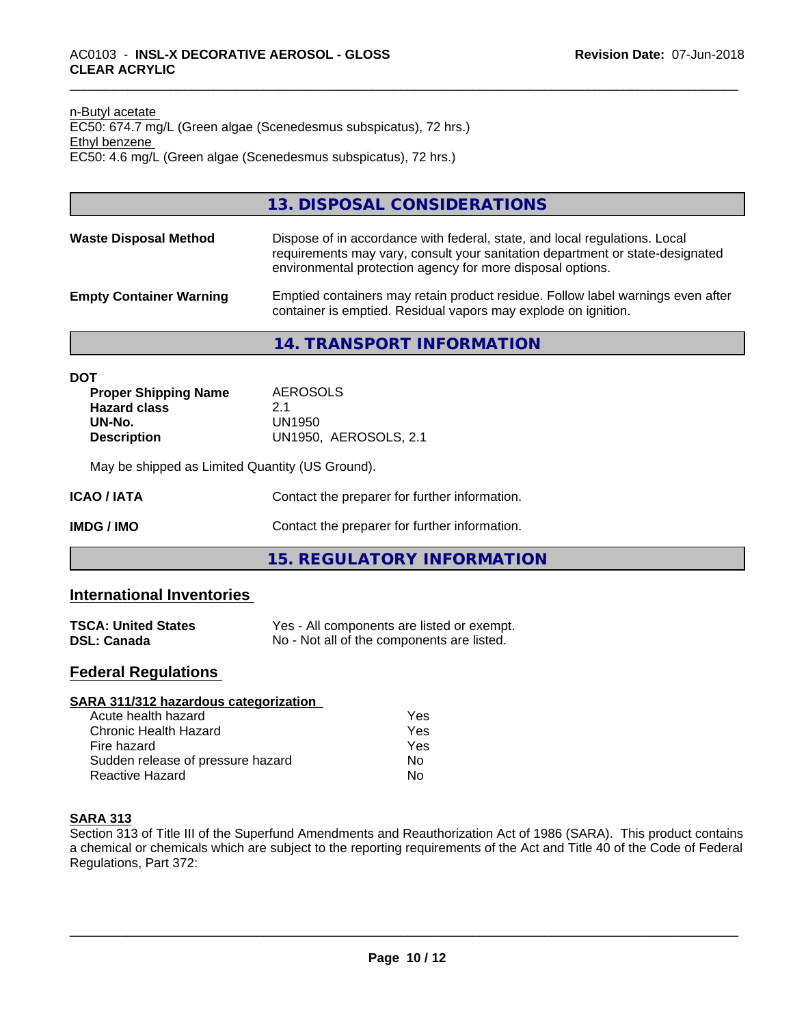#### n-Butyl acetate EC50: 674.7 mg/L (Green algae (Scenedesmus subspicatus), 72 hrs.) Ethyl benzene EC50: 4.6 mg/L (Green algae (Scenedesmus subspicatus), 72 hrs.)

### **13. DISPOSAL CONSIDERATIONS**

|--|

#### **Empty Container Warning** Emptied containers may retain product residue. Follow label warnings even after container is emptied. Residual vapors may explode on ignition.

#### **14. TRANSPORT INFORMATION**

| DOT                         |                       |  |
|-----------------------------|-----------------------|--|
| <b>Proper Shipping Name</b> | AEROSOLS              |  |
| <b>Hazard class</b>         | 2.1                   |  |
| UN-No.                      | UN1950                |  |
| <b>Description</b>          | UN1950. AEROSOLS, 2.1 |  |
|                             |                       |  |

May be shipped as Limited Quantity (US Ground).

**IMDG / IMO** Contact the preparer for further information.

**15. REGULATORY INFORMATION**

## **International Inventories**

| <b>TSCA: United States</b> | Yes - All components are listed or exempt. |
|----------------------------|--------------------------------------------|
| <b>DSL: Canada</b>         | No - Not all of the components are listed. |

## **Federal Regulations**

| SARA 311/312 hazardous categorization |     |  |
|---------------------------------------|-----|--|
| Acute health hazard                   | Yes |  |
| Chronic Health Hazard                 | Yes |  |
| Fire hazard                           | Yes |  |
| Sudden release of pressure hazard     | Nο  |  |
| Reactive Hazard                       | No  |  |

#### **SARA 313**

Section 313 of Title III of the Superfund Amendments and Reauthorization Act of 1986 (SARA). This product contains a chemical or chemicals which are subject to the reporting requirements of the Act and Title 40 of the Code of Federal Regulations, Part 372: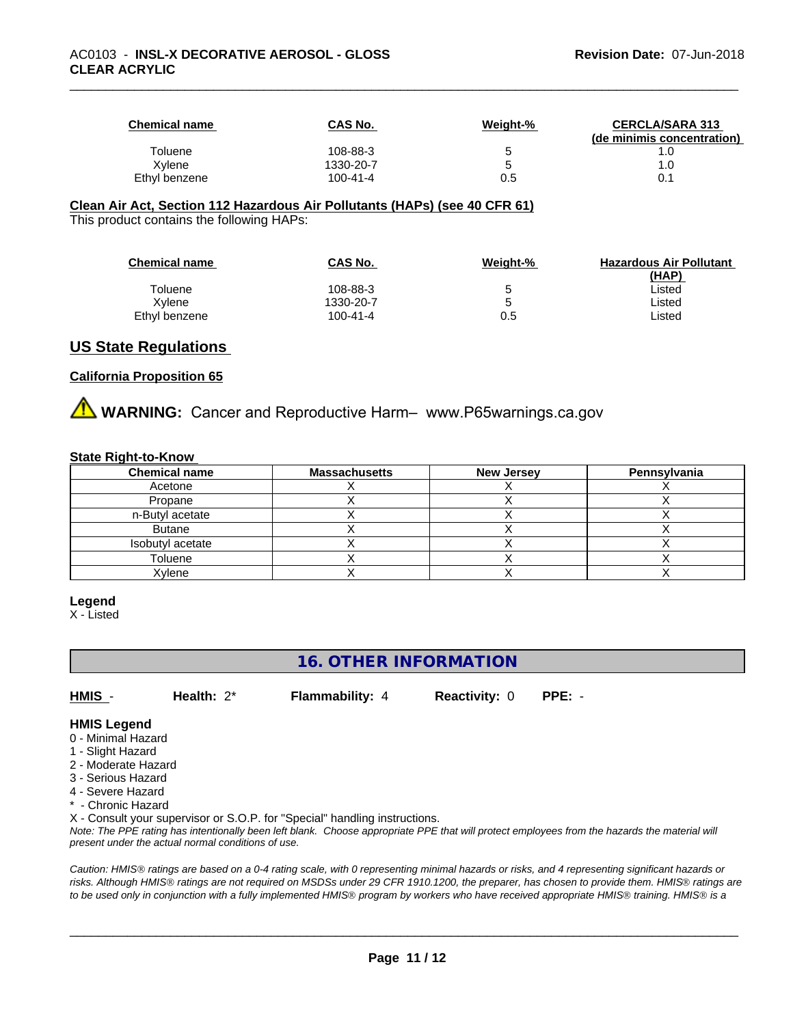| <b>Chemical name</b> | <b>CAS No.</b> | Weight-% | <b>CERCLA/SARA 313</b><br>(de minimis concentration) |
|----------------------|----------------|----------|------------------------------------------------------|
| Toluene              | 108-88-3       |          | . .U                                                 |
| Xvlene               | 1330-20-7      |          | 1.0                                                  |
| Ethyl benzene        | $100 - 41 - 4$ | 0.5      | 0.1                                                  |

#### **Clean Air Act,Section 112 Hazardous Air Pollutants (HAPs) (see 40 CFR 61)**

This product contains the following HAPs:

| <b>Chemical name</b> | CAS No.   | Weight-% | <b>Hazardous Air Pollutant</b><br>(HAP) |
|----------------------|-----------|----------|-----------------------------------------|
| Toluene              | 108-88-3  | 5        | ∟isted                                  |
| Xvlene               | 1330-20-7 | 5        | ∟isted                                  |
| Ethyl benzene        | 100-41-4  | 0.5      | ∟isted                                  |

#### **US State Regulations**

#### **California Proposition 65**

**AVIMARNING:** Cancer and Reproductive Harm– www.P65warnings.ca.gov

#### **State Right-to-Know**

| <b>Chemical name</b> | <b>Massachusetts</b> | <b>New Jersey</b> | Pennsylvania |
|----------------------|----------------------|-------------------|--------------|
| Acetone              |                      |                   |              |
| Propane              |                      |                   |              |
| n-Butyl acetate      |                      |                   |              |
| <b>Butane</b>        |                      |                   |              |
| Isobutyl acetate     |                      |                   |              |
| Toluene              |                      |                   |              |
| Xylene               |                      |                   |              |

#### **Legend**

X - Listed

## **16. OTHER INFORMATION**

**HMIS** - **Health:** 2\* **Flammability:** 4 **Reactivity:** 0 **PPE:** -

 $\overline{\phantom{a}}$  ,  $\overline{\phantom{a}}$  ,  $\overline{\phantom{a}}$  ,  $\overline{\phantom{a}}$  ,  $\overline{\phantom{a}}$  ,  $\overline{\phantom{a}}$  ,  $\overline{\phantom{a}}$  ,  $\overline{\phantom{a}}$  ,  $\overline{\phantom{a}}$  ,  $\overline{\phantom{a}}$  ,  $\overline{\phantom{a}}$  ,  $\overline{\phantom{a}}$  ,  $\overline{\phantom{a}}$  ,  $\overline{\phantom{a}}$  ,  $\overline{\phantom{a}}$  ,  $\overline{\phantom{a}}$ 

#### **HMIS Legend**

- 0 Minimal Hazard
- 1 Slight Hazard
- 2 Moderate Hazard
- 3 Serious Hazard
- 4 Severe Hazard
- \* Chronic Hazard
- X Consult your supervisor or S.O.P. for "Special" handling instructions.

*Note: The PPE rating has intentionally been left blank. Choose appropriate PPE that will protect employees from the hazards the material will present under the actual normal conditions of use.*

*Caution: HMISÒ ratings are based on a 0-4 rating scale, with 0 representing minimal hazards or risks, and 4 representing significant hazards or risks. Although HMISÒ ratings are not required on MSDSs under 29 CFR 1910.1200, the preparer, has chosen to provide them. HMISÒ ratings are to be used only in conjunction with a fully implemented HMISÒ program by workers who have received appropriate HMISÒ training. HMISÒ is a*